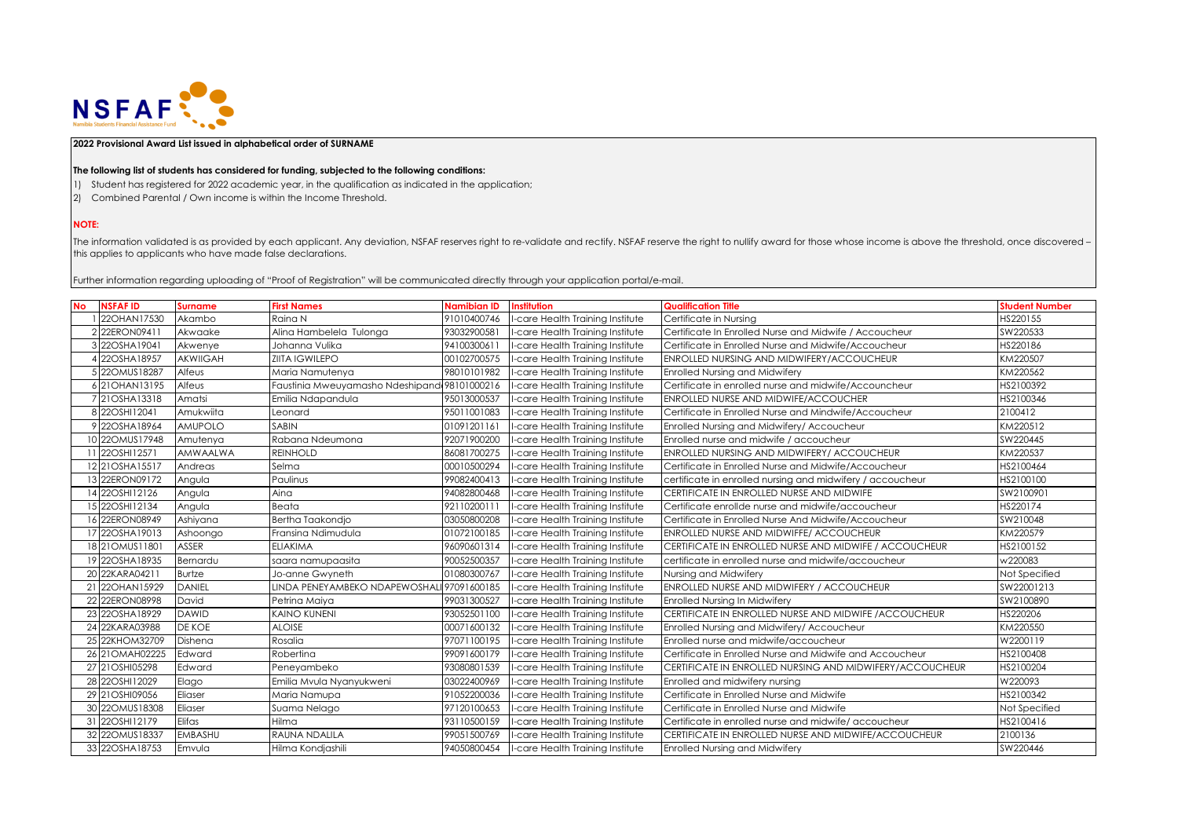

## **2022 Provisional Award List issued in alphabetical order of SURNAME**

## **The following list of students has considered for funding, subjected to the following conditions:**

- 1) Student has registered for 2022 academic year, in the qualification as indicated in the application;
- 2) Combined Parental / Own income is within the Income Threshold.

## **NOTE:**

The information validated is as provided by each applicant. Any deviation, NSFAF reserves right to re-validate and rectify. NSFAF reserve the right to nullify award for those whose income is above the threshold, once disco this applies to applicants who have made false declarations.

Further information regarding uploading of "Proof of Registration" will be communicated directly through your application portal/e-mail.

| <b>No</b> | <b>NSFAFID</b>   | <b>Surname</b>  | <b>First Names</b>                           | <b>Namibian ID</b> | Institution                      | <b>Qualification Title</b>                                 | <b>Student Number</b> |
|-----------|------------------|-----------------|----------------------------------------------|--------------------|----------------------------------|------------------------------------------------------------|-----------------------|
|           | 22OHAN17530      | Akambo          | Raina N                                      | 91010400746        | -care Health Training Institute  | Certificate in Nursing                                     | HS220155              |
|           | 22ERON09411      | Akwaake         | Alina Hambelela Tulonga                      | 93032900581        | I-care Health Training Institute | Certificate In Enrolled Nurse and Midwife / Accoucheur     | SW220533              |
|           | 3 22OSHA19041    | Akwenye         | Johanna Vulika                               | 94100300611        | I-care Health Training Institute | Certificate in Enrolled Nurse and Midwife/Accoucheur       | HS220186              |
|           | 22OSHA18957      | <b>AKWIIGAH</b> | <b>ZIITA IGWILEPO</b>                        | 00102700575        | -care Health Training Institute  | ENROLLED NURSING AND MIDWIFERY/ACCOUCHEUR                  | KM220507              |
|           | 5 220 MUS18287   | Alfeus          | Maria Namutenya                              | 98010101982        | -care Health Training Institute  | <b>Enrolled Nursing and Midwifery</b>                      | KM220562              |
|           | 6 21 OHAN 13195  | Alfeus          | Faustinia Mweuyamasho Ndeshipand 98101000216 |                    | -care Health Training Institute  | Certificate in enrolled nurse and midwife/Accouncheur      | HS2100392             |
|           | 7 21 OSHA13318   | Amatsi          | Emilia Ndapandula                            | 95013000537        | -care Health Training Institute  | ENROLLED NURSE AND MIDWIFE/ACCOUCHER                       | HS2100346             |
|           | 8 22OSHI12041    | Amukwiita       | Leonard                                      | 95011001083        | I-care Health Training Institute | Certificate in Enrolled Nurse and Mindwife/Accoucheur      | 2100412               |
|           | 9 22OSHA18964    | <b>AMUPOLO</b>  | <b>SABIN</b>                                 | 01091201161        | I-care Health Training Institute | Enrolled Nursing and Midwifery/ Accoucheur                 | KM220512              |
|           | 10 220 MUS17948  | Amutenya        | Rabana Ndeumona                              | 92071900200        | -care Health Training Institute  | Enrolled nurse and midwife / accoucheur                    | SW220445              |
|           | 22OSHI12571      | <b>AMWAALWA</b> | <b>REINHOLD</b>                              | 86081700275        | I-care Health Training Institute | ENROLLED NURSING AND MIDWIFERY/ ACCOUCHEUR                 | KM220537              |
|           | 12 21 OSHA15517  | Andreas         | Selma                                        | 00010500294        | -care Health Training Institute  | Certificate in Enrolled Nurse and Midwife/Accoucheur       | HS2100464             |
|           | 13 22ERON09172   | Angula          | Paulinus                                     | 99082400413        | I-care Health Training Institute | certificate in enrolled nursing and midwifery / accoucheur | HS2100100             |
|           | 14 22OSHI12126   | Angula          | Aina                                         | 94082800468        | -care Health Training Institute  | CERTIFICATE IN ENROLLED NURSE AND MIDWIFE                  | SW2100901             |
|           | 15 22OSHI12134   | Angula          | Beata                                        | 9211020011         | -care Health Training Institute  | Certificate enrollde nurse and midwife/accoucheur          | HS220174              |
|           | 16 22ERON08949   | Ashiyana        | Bertha Taakondio                             | 03050800208        | I-care Health Training Institute | Certificate in Enrolled Nurse And Midwife/Accoucheur       | SW210048              |
|           | 17 22OSHA19013   | Ashoongo        | Fransina Ndimudula                           | 01072100185        | -care Health Training Institute  | ENROLLED NURSE AND MIDWIFFE/ ACCOUCHEUR                    | KM220579              |
|           | 18 21 OMUS1 1801 | <b>ASSER</b>    | <b>ELIAKIMA</b>                              | 96090601314        | I-care Health Training Institute | CERTIFICATE IN ENROLLED NURSE AND MIDWIFE / ACCOUCHEUR     | HS2100152             |
|           | 19 22OSHA18935   | Bernardu        | saara namupaasita                            | 90052500357        | I-care Health Training Institute | certificate in enrolled nurse and midwife/accoucheur       | w220083               |
|           | 20 22KARA04211   | <b>Burtze</b>   | Jo-anne Gwyneth                              | 01080300767        | -care Health Trainina Institute  | Nursina and Midwiferv                                      | Not Specified         |
| 21        | 22OHAN15929      | <b>DANIEL</b>   | LINDA PENEYAMBEKO NDAPEWOSHALI 97091600185   |                    | I-care Health Training Institute | ENROLLED NURSE AND MIDWIFERY / ACCOUCHEUR                  | SW22001213            |
|           | 22 22ERON08998   | David           | Petrina Maiya                                | 99031300527        | -care Health Training Institute  | Enrolled Nursing In Midwifery                              | SW2100890             |
|           | 23 22OSHA18929   | <b>DAWID</b>    | <b>KAINO KUNENI</b>                          | 93052501100        | I-care Health Training Institute | CERTIFICATE IN ENROLLED NURSE AND MIDWIFE / ACCOUCHEUR     | HS220206              |
|           | 24 22KARA03988   | DE KOE          | <b>ALOISE</b>                                | 00071600132        | -care Health Training Institute  | Enrolled Nursing and Midwifery/ Accoucheur                 | KM220550              |
|           | 25 22KHOM32709   | Dishena         | Rosalia                                      | 97071100195        | -care Health Training Institute  | Enrolled nurse and midwife/accoucheur                      | W2200119              |
|           | 26 21 OMAH02225  | Edward          | Robertina                                    | 99091600179        | I-care Health Training Institute | Certificate in Enrolled Nurse and Midwife and Accoucheur   | HS2100408             |
|           | 27 21 OSHI05298  | Edward          | Peneyambeko                                  | 93080801539        | -care Health Training Institute  | CERTIFICATE IN ENROLLED NURSING AND MIDWIFERY/ACCOUCHEUR   | HS2100204             |
|           | 28 22OSHI12029   | Elago           | Emilia Mvula Nyanyukweni                     | 03022400969        | I-care Health Training Institute | Enrolled and midwifery nursing                             | W220093               |
|           | 29 21 OSHI09056  | Eliaser         | Maria Namupa                                 | 91052200036        | -care Health Training Institute  | Certificate in Enrolled Nurse and Midwife                  | HS2100342             |
|           | 30 220 MUS18308  | Eliaser         | Suama Nelago                                 | 97120100653        | -care Health Training Institute  | Certificate in Enrolled Nurse and Midwife                  | Not Specified         |
|           | 31 22OSHI12179   | Elifas          | Hilma                                        | 93110500159        | I-care Health Training Institute | Certificate in enrolled nurse and midwife/accoucheur       | HS2100416             |
|           | 32 220 MUS18337  | <b>EMBASHU</b>  | <b>RAUNA NDALILA</b>                         | 99051500769        | -care Health Training Institute  | CERTIFICATE IN ENROLLED NURSE AND MIDWIFE/ACCOUCHEUR       | 2100136               |
|           | 33 22OSHA18753   | Emvula          | Hilma Kondjashili                            | 94050800454        | I-care Health Training Institute | <b>Enrolled Nursing and Midwifery</b>                      | SW220446              |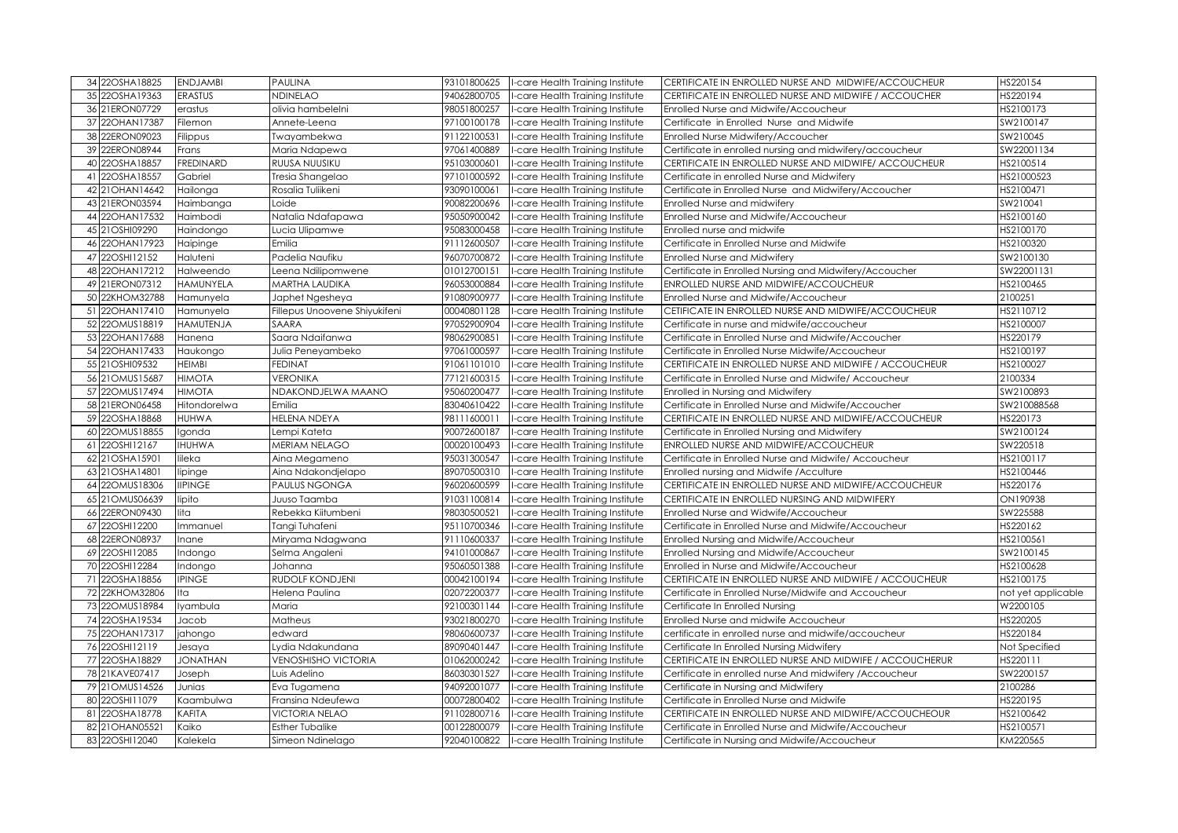| 34 22OSHA18825   | <b>ENDJAMBI</b>  | <b>PAULINA</b>                | 93101800625 | -care Health Training Institute  | CERTIFICATE IN ENROLLED NURSE AND MIDWIFE/ACCOUCHEUR     | HS220154           |
|------------------|------------------|-------------------------------|-------------|----------------------------------|----------------------------------------------------------|--------------------|
| 35 22OSHA19363   | <b>ERASTUS</b>   | NDINELAO                      | 94062800705 | -care Health Training Institute  | CERTIFICATE IN ENROLLED NURSE AND MIDWIFE / ACCOUCHER    | HS220194           |
| 36 21ERON07729   | erastus          | olivia hambelelni             | 98051800257 | -care Health Training Institute  | Enrolled Nurse and Midwife/Accoucheur                    | HS2100173          |
| 37 22OHAN17387   | Filemon          | Annete-Leena                  | 97100100178 | -care Health Training Institute  | Certificate in Enrolled Nurse and Midwife                | SW2100147          |
| 38 22ERON09023   | Filippus         | Twayambekwa                   | 91122100531 | -care Health Training Institute  | Enrolled Nurse Midwifery/Accoucher                       | SW210045           |
| 39 22ERON08944   | Frans            | Maria Ndapewa                 | 97061400889 | -care Health Training Institute  | Certificate in enrolled nursing and midwifery/accoucheur | SW22001134         |
| 40 22OSHA18857   | <b>FREDINARD</b> | RUUSA NUUSIKU                 | 95103000601 | -care Health Training Institute  | CERTIFICATE IN ENROLLED NURSE AND MIDWIFE/ ACCOUCHEUR    | HS2100514          |
| 41 22OSHA18557   | Gabriel          | Tresia Shangelao              | 97101000592 | -care Health Training Institute  | Certificate in enrolled Nurse and Midwifery              | HS21000523         |
| 42 21 OHAN 14642 | Hailonga         | Rosalia Tuliikeni             | 93090100061 | -care Health Training Institute  | Certificate in Enrolled Nurse and Midwifery/Accoucher    | HS2100471          |
| 43 21ERON03594   | Haimbanga        | Loide                         | 90082200696 | -care Health Training Institute  | Enrolled Nurse and midwiferv                             | SW210041           |
| 44 22OHAN17532   | Haimbodi         | Natalia Ndafapawa             | 95050900042 | -care Health Training Institute  | Enrolled Nurse and Midwife/Accoucheur                    | HS2100160          |
| 45 21 OSHI09290  | Haindongo        | Lucia Ulipamwe                | 95083000458 | -care Health Training Institute  | Enrolled nurse and midwife                               | HS2100170          |
| 46 22OHAN17923   | Haipinge         | Emilia                        | 91112600507 | -care Health Training Institute  | Certificate in Enrolled Nurse and Midwife                | HS2100320          |
| 47 22OSHI12152   | Haluteni         | Padelia Naufiku               | 96070700872 | -care Health Training Institute  | Enrolled Nurse and Midwifery                             | SW2100130          |
| 48 22 OHAN 17212 | Halweendo        | Leena Ndilipomwene            | 01012700151 | -care Health Training Institute  | Certificate in Enrolled Nursing and Midwifery/Accoucher  | SW22001131         |
| 49 21 ERON07312  | HAMUNYELA        | MARTHA LAUDIKA                | 96053000884 | -care Health Training Institute  | ENROLLED NURSE AND MIDWIFE/ACCOUCHEUR                    | HS2100465          |
| 50 22KHOM32788   | Hamunyela        | Japhet Ngesheya               | 91080900977 | -care Health Training Institute  | Enrolled Nurse and Midwife/Accoucheur                    | 2100251            |
| 51 22OHAN17410   | Hamunyela        | Fillepus Unoovene Shiyukifeni | 00040801128 | -care Health Training Institute  | CETIFICATE IN ENROLLED NURSE AND MIDWIFE/ACCOUCHEUR      | HS2110712          |
| 52 220MUS18819   | HAMUTENJA        | SAARA                         | 97052900904 | -care Health Training Institute  | Certificate in nurse and midwife/accoucheur              | HS2100007          |
| 53 22OHAN17688   | Hanena           | Saara Ndaifanwa               | 98062900851 | -care Health Training Institute  | Certificate in Enrolled Nurse and Midwife/Accoucher      | HS220179           |
| 54 22OHAN17433   | Haukongo         | Julia Peneyambeko             | 97061000597 | -care Health Training Institute  | Certificate in Enrolled Nurse Midwife/Accoucheur         | HS2100197          |
| 55 21 OSHI09532  | HEIMBI           | <b>FEDINAT</b>                | 91061101010 | -care Health Training Institute  | CERTIFICATE IN ENROLLED NURSE AND MIDWIFE / ACCOUCHEUR   | HS2100027          |
| 56 21 OMUS15687  | <b>HIMOTA</b>    | VERONIKA                      | 77121600315 | -care Health Training Institute  | Certificate in Enrolled Nurse and Midwife/ Accoucheur    | 2100334            |
| 57 220 MUS17494  | <b>HIMOTA</b>    | NDAKONDJELWA MAANO            | 95060200477 | -care Health Training Institute  | Enrolled in Nursing and Midwifery                        | SW2100893          |
| 58 21ERON06458   | Hitondorelwa     | Emilia                        | 83040610422 | -care Health Training Institute  | Certificate in Enrolled Nurse and Midwife/Accoucher      | SW210088568        |
| 59 22OSHA18868   | HUHWA            | HELENA NDEYA                  | 98111600011 | -care Health Training Institute  | CERTIFICATE IN ENROLLED NURSE AND MIDWIFE/ACCOUCHEUR     | HS220173           |
| 60 220 MUS18855  | Igonda           | Lempi Kateta                  | 90072600187 | -care Health Training Institute  | Certificate in Enrolled Nursing and Midwifery            | SW2100124          |
| 61 22OSHI12167   | <b>IHUHWA</b>    | MERIAM NELAGO                 | 00020100493 | -care Health Training Institute  | <b>ENROLLED NURSE AND MIDWIFE/ACCOUCHEUR</b>             | SW220518           |
| 62 21 OSHA15901  | lileka           | Aina Megameno                 | 95031300547 | -care Health Training Institute  | Certificate in Enrolled Nurse and Midwife/Accoucheur     | HS2100117          |
| 63 21 OSHA14801  | lipinge          | Aina Ndakondjelapo            | 89070500310 | -care Health Training Institute  | Enrolled nursing and Midwife / Acculture                 | HS2100446          |
| 64 220MUS18306   | <b>IIPINGE</b>   | <b>PAULUS NGONGA</b>          | 96020600599 | -care Health Training Institute  | CERTIFICATE IN ENROLLED NURSE AND MIDWIFE/ACCOUCHEUR     | HS220176           |
| 65 21 OMUS06639  | lipito           | Juuso Taamba                  | 91031100814 | -care Health Training Institute  | CERTIFICATE IN ENROLLED NURSING AND MIDWIFERY            | ON190938           |
| 66 22ERON09430   | lita             | Rebekka Kiitumbeni            | 98030500521 | -care Health Training Institute  | Enrolled Nurse and Widwife/Accoucheur                    | SW225588           |
| 67 22OSHI12200   | Immanuel         | Tangi Tuhafeni                | 95110700346 | -care Health Training Institute  | Certificate in Enrolled Nurse and Midwife/Accoucheur     | HS220162           |
| 68 22ERON08937   | Inane            | Miryama Ndagwana              | 91110600337 | -care Health Training Institute  | Enrolled Nursing and Midwife/Accoucheur                  | HS2100561          |
| 69 22OSHI12085   | Indongo          | Selma Angaleni                | 94101000867 | -care Health Training Institute  | Enrolled Nursing and Midwife/Accoucheur                  | SW2100145          |
| 70 22OSHI12284   | Indongo          | Johanna                       | 95060501388 | -care Health Training Institute  | Enrolled in Nurse and Midwife/Accoucheur                 | HS2100628          |
| 71 22OSHA18856   | <b>IPINGE</b>    | RUDOLF KONDJENI               | 00042100194 | -care Health Training Institute  | CERTIFICATE IN ENROLLED NURSE AND MIDWIFE / ACCOUCHEUR   | HS2100175          |
| 72 22KHOM32806   | Ita              | Helena Paulina                | 02072200377 | -care Health Training Institute  | Certificate in Enrolled Nurse/Midwife and Accoucheur     | not yet applicable |
| 73 220MUS18984   | lyambula         | Maria                         | 92100301144 | -care Health Training Institute  | Certificate In Enrolled Nursing                          | W2200105           |
| 74 22OSHA19534   | Jacob            | Matheus                       | 93021800270 | -care Health Training Institute  | Enrolled Nurse and midwife Accoucheur                    | HS220205           |
| 75 22OHAN17317   | jahongo          | edward                        | 98060600737 | -care Health Training Institute  | certificate in enrolled nurse and midwife/accoucheur     | HS220184           |
| 76 22OSHI12119   | Jesaya           | Lydia Ndakundana              | 89090401447 | -care Health Training Institute  | Certificate In Enrolled Nursing Midwifery                | Not Specified      |
| 77 22OSHA18829   | <b>JONATHAN</b>  | <b>VENOSHISHO VICTORIA</b>    | 01062000242 | -care Health Training Institute  | CERTIFICATE IN ENROLLED NURSE AND MIDWIFE / ACCOUCHERUR  | HS220111           |
| 78 21KAVE07417   | Joseph           | Luis Adelino                  | 86030301527 | -care Health Training Institute  | Certificate in enrolled nurse And midwifery / Accoucheur | SW2200157          |
| 79 21 OMUS14526  | Junias           | Eva Tugamena                  | 94092001077 | -care Health Training Institute  | Certificate in Nursing and Midwifery                     | 2100286            |
| 80 22OSHI11079   | Kaambulwa        | Fransina Ndeufewa             | 00072800402 | -care Health Training Institute  | Certificate in Enrolled Nurse and Midwife                | HS220195           |
| 81 22OSHA18778   | KAFITA           | <b>VICTORIA NELAO</b>         | 91102800716 | -care Health Training Institute  | CERTIFICATE IN ENROLLED NURSE AND MIDWIFE/ACCOUCHEOUR    | HS2100642          |
| 82 21 OHAN 05521 | Kaiko            | <b>Esther Tubalike</b>        | 00122800079 | I-care Health Training Institute | Certificate in Enrolled Nurse and Midwife/Accoucheur     | HS2100571          |
| 83 22OSHI12040   | Kalekela         | Simeon Ndinelago              | 92040100822 | I-care Health Training Institute | Certificate in Nursing and Midwife/Accoucheur            | KM220565           |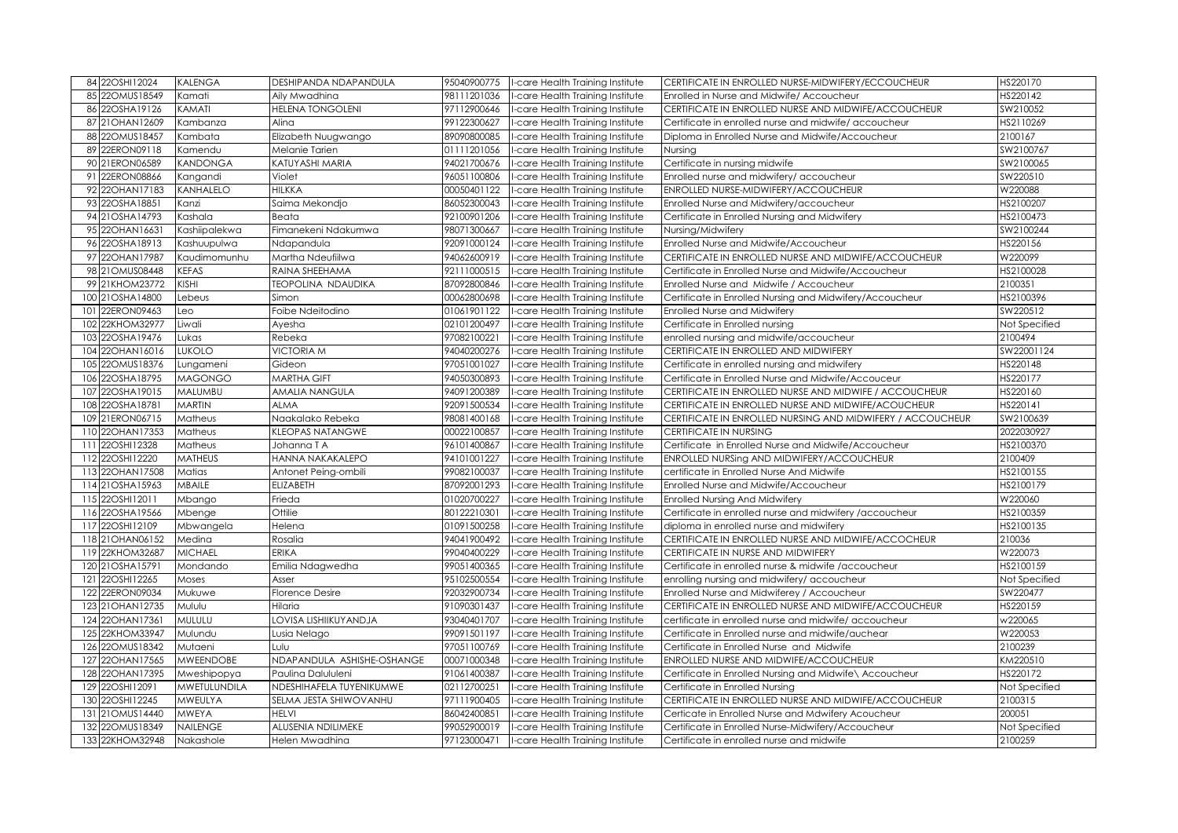|     | 84 22OSHI12024                     | <b>KALENGA</b>               | DESHIPANDA NDAPANDULA                | 95040900775                | -care Health Training Institute                                    | CERTIFICATE IN ENROLLED NURSE-MIDWIFERY/ECCOUCHEUR                                              | HS220170                 |
|-----|------------------------------------|------------------------------|--------------------------------------|----------------------------|--------------------------------------------------------------------|-------------------------------------------------------------------------------------------------|--------------------------|
|     | 85 220MUS18549                     | Kamati                       | Aily Mwadhina                        | 98111201036                | -care Health Training Institute                                    | Enrolled in Nurse and Midwife/ Accoucheur                                                       | HS220142                 |
|     | 86 22OSHA19126                     | KAMATI                       | <b>HELENA TONGOLENI</b>              | 97112900646                | -care Health Training Institute                                    | CERTIFICATE IN ENROLLED NURSE AND MIDWIFE/ACCOUCHEUR                                            | SW210052                 |
|     | 87 21 OHAN 12609                   | Kambanza                     | Alina                                | 99122300627                | -care Health Training Institute                                    | Certificate in enrolled nurse and midwife/accoucheur                                            | HS2110269                |
|     | 88 220 MUS18457                    | Kambata                      | Elizabeth Nuugwango                  | 89090800085                | -care Health Training Institute                                    | Diploma in Enrolled Nurse and Midwife/Accoucheur                                                | 2100167                  |
|     | 89 22ERON09118                     | Kamendu                      | Melanie Tarien                       | 01111201056                | -care Health Training Institute                                    | Nursing                                                                                         | SW2100767                |
|     | 90 21ERON06589                     | KANDONGA                     | KATUYASHI MARIA                      | 94021700676                | -care Health Training Institute                                    | Certificate in nursing midwife                                                                  | SW2100065                |
|     | 91 22ERON08866                     | Kangandi                     | Violet                               | 96051100806                | -care Health Training Institute                                    | Enrolled nurse and midwifery/ accoucheur                                                        | SW220510                 |
|     | 92 22OHAN17183                     | KANHALELO                    | <b>HILKKA</b>                        | 00050401122                | -care Health Training Institute                                    | ENROLLED NURSE-MIDWIFERY/ACCOUCHEUR                                                             | W220088                  |
|     | 93 22OSHA18851                     | Kanzi                        | Saima Mekondjo                       | 86052300043                | -care Health Training Institute                                    | Enrolled Nurse and Midwifery/accoucheur                                                         | HS2100207                |
|     | 94 21 OSHA14793                    | Kashala                      | Beata                                | 92100901206                | -care Health Training Institute                                    | Certificate in Enrolled Nursing and Midwifery                                                   | HS2100473                |
|     | 95 22OHAN16631                     | Kashiipalekwa                | Fimanekeni Ndakumwa                  | 98071300667                | -care Health Training Institute                                    | Nursing/Midwifery                                                                               | SW2100244                |
|     | 96 22OSHA18913                     | Kashuupulwa                  | Ndapandula                           | 92091000124                | -care Health Training Institute                                    | Enrolled Nurse and Midwife/Accoucheur                                                           | HS220156                 |
|     | 97 22OHAN17987                     | Kaudimomunhu                 | Martha Ndeufiilwa                    | 94062600919                | -care Health Training Institute                                    | CERTIFICATE IN ENROLLED NURSE AND MIDWIFE/ACCOUCHEUR                                            | W220099                  |
|     | 98 21 OMUS08448                    | <b>KEFAS</b>                 | RAINA SHEEHAMA                       | 92111000515                | -care Health Training Institute                                    | Certificate in Enrolled Nurse and Midwife/Accoucheur                                            | HS2100028                |
|     | 99 21KHOM23772                     | <b>KISHI</b>                 | TEOPOLINA NDAUDIKA                   | 87092800846                | -care Health Training Institute                                    | Enrolled Nurse and Midwife / Accoucheur                                                         | 2100351                  |
|     | 100 21OSHA14800                    | Lebeus                       | Simon                                | 00062800698                | -care Health Training Institute                                    | Certificate in Enrolled Nursing and Midwifery/Accoucheur                                        | HS2100396                |
| 101 | 22ERON09463                        | Leo                          | Foibe Ndeitodino                     | 01061901122                | -care Health Training Institute                                    | Enrolled Nurse and Midwifery                                                                    | SW220512                 |
|     | 102 22KHOM32977                    | Liwali                       | Ayesha                               | 02101200497                | -care Health Training Institute                                    | Certificate in Enrolled nursing                                                                 | Not Specified            |
|     | 103 22OSHA19476                    | Lukas                        | Rebeka                               | 97082100221                | -care Health Training Institute                                    | enrolled nursing and midwife/accoucheur                                                         | 2100494                  |
|     | 104 22OHAN16016                    | LUKOLO                       | <b>VICTORIA M</b>                    | 94040200276                | -care Health Training Institute                                    | CERTIFICATE IN ENROLLED AND MIDWIFERY                                                           | SW22001124               |
|     | 105 22OMUS18376                    | Lungameni                    | Gideon                               | 97051001027                | -care Health Training Institute                                    | Certificate in enrolled nursing and midwifery                                                   | HS220148                 |
|     | 106 22OSHA18795                    | <b>MAGONGO</b>               | <b>MARTHA GIFT</b>                   | 94050300893                | -care Health Training Institute                                    | Certificate in Enrolled Nurse and Midwife/Accouceur                                             | HS220177                 |
|     | 107 22OSHA19015                    | MALUMBU                      | AMALIA NANGULA                       | 94091200389                | -care Health Training Institute                                    | CERTIFICATE IN ENROLLED NURSE AND MIDWIFE / ACCOUCHEUR                                          | HS220160                 |
|     | 108 22OSHA18781                    | <b>MARTIN</b>                | <b>ALMA</b>                          | 92091500534                | -care Health Training Institute                                    | CERTIFICATE IN ENROLLED NURSE AND MIDWIFE/ACOUCHEUR                                             | HS220141                 |
|     |                                    |                              |                                      |                            |                                                                    |                                                                                                 |                          |
|     | 109 21ERON06715                    | Matheus                      | Naakalako Rebeka                     | 98081400168                | -care Health Training Institute                                    | CERTIFICATE IN ENROLLED NURSING AND MIDWIFERY / ACCOUCHEUR                                      | SW2100639                |
|     | 110 22OHAN17353                    | Matheus                      | <b>KLEOPAS NATANGWE</b>              | 00022100857                | -care Health Training Institute                                    | CERTIFICATE IN NURSING                                                                          | 2022030927               |
|     | 111 22OSHI12328                    | Matheus                      | Johanna T A                          | 96101400867                | -care Health Training Institute                                    | Certificate in Enrolled Nurse and Midwife/Accoucheur                                            | HS2100370                |
|     | 112 22OSHI12220                    | <b>MATHEUS</b>               | HANNA NAKAKALEPO                     | 94101001227                | -care Health Training Institute                                    | ENROLLED NURSing AND MIDWIFERY/ACCOUCHEUR                                                       | 2100409                  |
|     | 113 22OHAN17508                    | Matias                       | Antonet Peing-ombili                 | 99082100037                | -care Health Training Institute                                    | certificate in Enrolled Nurse And Midwife                                                       | HS2100155                |
|     | 114 21 OSHA15963                   | MBAILE                       | <b>ELIZABETH</b>                     | 87092001293                | -care Health Training Institute                                    | Enrolled Nurse and Midwife/Accoucheur                                                           | HS2100179                |
|     | 115 22OSHI12011                    | Mbango                       | Frieda                               | 01020700227                | -care Health Training Institute                                    | <b>Enrolled Nursing And Midwifery</b>                                                           | W220060                  |
|     | 116 22OSHA19566                    | Mbenge                       | Ottilie                              | 80122210301                | -care Health Training Institute                                    | Certificate in enrolled nurse and midwifery /accoucheur                                         | HS2100359                |
|     | 117 22OSHI12109                    | Mbwangela                    | Helena                               | 01091500258                | -care Health Training Institute                                    | diploma in enrolled nurse and midwifery                                                         | HS2100135                |
|     | 118 21 OHAN 06152                  | Medina                       | Rosalia                              | 94041900492                | -care Health Training Institute                                    | CERTIFICATE IN ENROLLED NURSE AND MIDWIFE/ACCOCHEUR                                             | 210036                   |
|     | 119 22KHOM32687                    | <b>MICHAEL</b>               | <b>ERIKA</b>                         | 99040400229                | -care Health Training Institute                                    | CERTIFICATE IN NURSE AND MIDWIFERY                                                              | W220073                  |
|     | 120 21OSHA15791                    | Mondando                     | Emilia Ndagwedha                     | 99051400365                | -care Health Training Institute                                    | Certificate in enrolled nurse & midwife / accoucheur                                            | HS2100159                |
|     | 121 22OSHI12265                    | Moses                        | Asser                                | 95102500554                | -care Health Training Institute                                    | enrolling nursing and midwifery/ accoucheur                                                     | Not Specified            |
|     | 122 22ERON09034                    | Mukuwe                       | Florence Desire                      | 92032900734                | -care Health Training Institute                                    | Enrolled Nurse and Midwiferey / Accoucheur                                                      | SW220477                 |
|     | 123 21 OHAN 12735                  | Mululu                       | Hilaria                              | 91090301437                | -care Health Training Institute                                    | CERTIFICATE IN ENROLLED NURSE AND MIDWIFE/ACCOUCHEUR                                            | HS220159                 |
|     | 124 22OHAN17361                    | MULULU                       | LOVISA LISHIIKUYANDJA                | 93040401707                | -care Health Training Institute                                    | certificate in enrolled nurse and midwife/ accoucheur                                           | w220065                  |
|     | 125 22KHOM33947                    | Mulundu                      | Lusia Nelago                         | 99091501197                | -care Health Training Institute                                    | Certificate in Enrolled nurse and midwife/auchear                                               | W220053                  |
|     | 126 22OMUS18342                    | Mutaeni                      | Lulu                                 | 97051100769                | -care Health Training Institute                                    | Certificate in Enrolled Nurse and Midwife                                                       | 2100239                  |
|     | 127 22OHAN17565                    | <b>MWEENDOBE</b>             | NDAPANDULA ASHISHE-OSHANGE           | 00071000348                | -care Health Training Institute                                    | ENROLLED NURSE AND MIDWIFE/ACCOUCHEUR                                                           | KM220510                 |
|     | 128 22OHAN17395                    | Mweshipopya                  | Paulina Dalululeni                   | 91061400387                | -care Health Training Institute                                    | Certificate in Enrolled Nursing and Midwife\ Accoucheur                                         | HS220172                 |
|     | 129 22OSHI12091                    | MWETULUNDILA                 | NDESHIHAFELA TUYENIKUMWE             | 02112700251                | -care Health Training Institute                                    | Certificate in Enrolled Nursing                                                                 | Not Specified            |
|     | 130 22OSHI12245                    | MWEULYA                      | SELMA JESTA SHIWOVANHU               | 97111900405                | -care Health Training Institute                                    | CERTIFICATE IN ENROLLED NURSE AND MIDWIFE/ACCOUCHEUR                                            | 2100315                  |
|     | 131 21 OMUS14440                   | MWEYA                        | <b>HELVI</b>                         | 86042400851                | -care Health Training Institute                                    | Certicate in Enrolled Nurse and Mdwifery Acoucheur                                              | 200051                   |
|     | 132 220MUS18349<br>133 22KHOM32948 | <b>NAILENGE</b><br>Nakashole | ALUSENIA NDILIMEKE<br>Helen Mwadhina | 99052900019<br>97123000471 | -care Health Training Institute<br>-care Health Training Institute | Certificate in Enrolled Nurse-Midwifery/Accoucheur<br>Certificate in enrolled nurse and midwife | Not Specified<br>2100259 |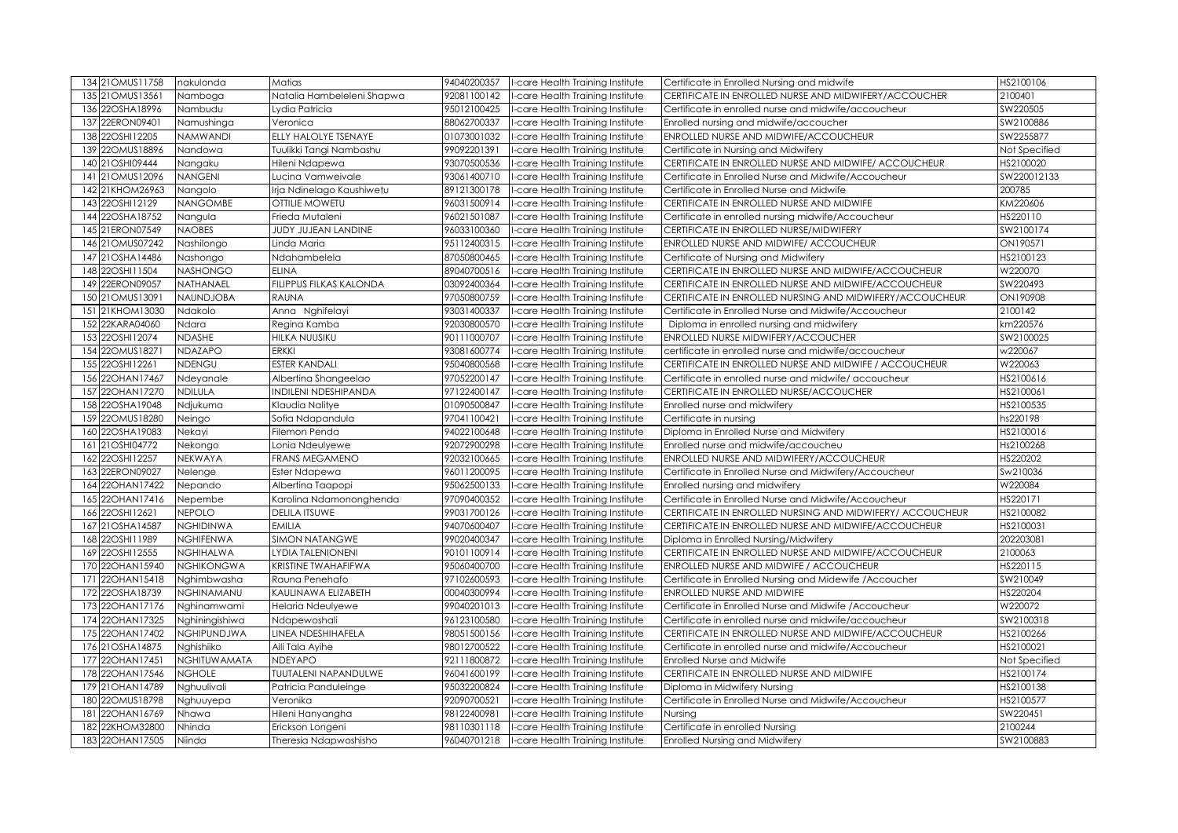| 134 21 OMUS11758                   | nakulonda         | Matias                                    | 94040200357 | I-care Health Training Institute                                                   | Certificate in Enrolled Nursing and midwife                              | HS2100106            |
|------------------------------------|-------------------|-------------------------------------------|-------------|------------------------------------------------------------------------------------|--------------------------------------------------------------------------|----------------------|
| 21OMUS13561<br>135                 | Namboga           | Natalia Hambeleleni Shapwa                | 92081100142 | -care Health Training Institute                                                    | CERTIFICATE IN ENROLLED NURSE AND MIDWIFERY/ACCOUCHER                    | 2100401              |
| 22OSHA18996<br>136                 | Nambudu           | Lydia Patricia                            | 95012100425 | -care Health Training Institute                                                    | Certificate in enrolled nurse and midwife/accoucheur                     | SW220505             |
| 137 22ERON09401                    | Namushinga        | Veronica                                  | 88062700337 | -care Health Training Institute                                                    | Enrolled nursing and midwife/accoucher                                   | SW2100886            |
| 138 22OSHI12205                    | <b>NAMWANDI</b>   | ELLY HALOLYE TSENAYE                      | 01073001032 | -care Health Training Institute                                                    | ENROLLED NURSE AND MIDWIFE/ACCOUCHEUR                                    | SW2255877            |
| 139 220MUS18896                    | Nandowa           | Tuulikki Tangi Nambashu                   | 99092201391 | -care Health Training Institute                                                    | Certificate in Nursing and Midwifery                                     | Not Specified        |
| 21OSHI09444<br>140                 | Nangaku           | Hileni Ndapewa                            | 93070500536 | -care Health Training Institute                                                    | CERTIFICATE IN ENROLLED NURSE AND MIDWIFE/ ACCOUCHEUR                    | HS2100020            |
| 21OMUS12096<br> 4                  | <b>NANGENI</b>    | Lucina Vamweivale                         | 93061400710 | -care Health Training Institute                                                    | Certificate in Enrolled Nurse and Midwife/Accoucheur                     | SW220012133          |
| 21KHOM26963<br>142                 | Nangolo           | Irja Ndinelago Kaushiwetu                 | 89121300178 | -care Health Training Institute                                                    | Certificate in Enrolled Nurse and Midwife                                | 200785               |
| 22OSHI12129<br>143                 | <b>NANGOMBE</b>   | OTTILIE MOWETU                            | 96031500914 | -care Health Training Institute                                                    | CERTIFICATE IN ENROLLED NURSE AND MIDWIFE                                | KM220606             |
| 144 22OSHA18752                    | Nangula           | Frieda Mutaleni                           | 96021501087 | -care Health Training Institute                                                    | Certificate in enrolled nursing midwife/Accoucheur                       | HS220110             |
| 145 21ERON07549                    | <b>NAOBES</b>     | JUDY JUJEAN LANDINE                       | 96033100360 | -care Health Training Institute                                                    | CERTIFICATE IN ENROLLED NURSE/MIDWIFERY                                  | SW2100174            |
| 21OMUS07242<br>146                 | Nashilongo        | Linda Maria                               | 95112400315 | -care Health Training Institute                                                    | ENROLLED NURSE AND MIDWIFE/ ACCOUCHEUR                                   | ON190571             |
| 21OSHA14486<br>147                 | Nashongo          | Ndahambelela                              | 87050800465 | -care Health Training Institute                                                    | Certificate of Nursing and Midwifery                                     | HS2100123            |
| 148 22OSHI11504                    | <b>NASHONGO</b>   | <b>ELINA</b>                              | 89040700516 | -care Health Training Institute                                                    | CERTIFICATE IN ENROLLED NURSE AND MIDWIFE/ACCOUCHEUR                     | W220070              |
| 149 22ERON09057                    | NATHANAEL         | <b>FILIPPUS FILKAS KALONDA</b>            | 03092400364 | I-care Health Training Institute                                                   | CERTIFICATE IN ENROLLED NURSE AND MIDWIFE/ACCOUCHEUR                     | SW220493             |
| 21OMUS13091<br>150                 | <b>NAUNDJOBA</b>  | <b>RAUNA</b>                              | 97050800759 | -care Health Training Institute                                                    | CERTIFICATE IN ENROLLED NURSING AND MIDWIFERY/ACCOUCHEUR                 | ON190908             |
| 21KHOM13030<br>151                 | Ndakolo           | Anna Nghifelayi                           | 93031400337 | I-care Health Training Institute                                                   | Certificate in Enrolled Nurse and Midwife/Accoucheur                     | 2100142              |
| 22KARA04060<br>152                 | Ndara             | Regina Kamba                              | 92030800570 | I-care Health Training Institute                                                   | Diploma in enrolled nursing and midwifery                                | km220576             |
| 153 22OSHI12074                    | <b>NDASHE</b>     | HILKA NUUSIKU                             | 90111000707 | I-care Health Training Institute                                                   | ENROLLED NURSE MIDWIFERY/ACCOUCHER                                       | SW2100025            |
| 154 22OMUS18271                    | <b>NDAZAPO</b>    | <b>ERKKI</b>                              | 93081600774 | -care Health Training Institute                                                    | certificate in enrolled nurse and midwife/accoucheur                     | w220067              |
| 155 22OSHI12261                    | <b>NDENGU</b>     | <b>ESTER KANDALI</b>                      | 95040800568 | I-care Health Training Institute                                                   | CERTIFICATE IN ENROLLED NURSE AND MIDWIFE / ACCOUCHEUR                   | W220063              |
| 156 22OHAN17467                    | Ndeyanale         | Albertina Shangeelao                      | 97052200147 | I-care Health Training Institute                                                   | Certificate in enrolled nurse and midwife/ accoucheur                    | HS2100616            |
| 22OHAN17270<br>157                 | <b>NDILULA</b>    | <b>INDILENI NDESHIPANDA</b>               | 97122400147 | I-care Health Training Institute                                                   | CERTIFICATE IN ENROLLED NURSE/ACCOUCHER                                  | HS2100061            |
| 158 22OSHA19048                    | Ndjukuma          | Klaudia Nalitye                           | 01090500847 | -care Health Training Institute                                                    | Enrolled nurse and midwifery                                             | HS2100535            |
|                                    |                   |                                           |             |                                                                                    |                                                                          |                      |
| 159 22OMUS18280                    | Neingo            | Sofia Ndapandula                          | 97041100421 | -care Health Training Institute                                                    | Certificate in nursing                                                   | hs220198             |
| 22OSHA19083<br>160                 | Nekayi            | Filemon Penda                             | 94022100648 | -care Health Training Institute                                                    | Diploma in Enrolled Nurse and Midwifery                                  | HS2100016            |
| 21OSHI04772<br>161                 | Nekongo           | Lonia Ndeulyewe                           | 92072900298 | -care Health Training Institute                                                    | Enrolled nurse and midwife/accoucheu                                     | Hs2100268            |
| 22OSHI12257<br>162                 | NEKWAYA           | <b>FRANS MEGAMENO</b>                     | 92032100665 | -care Health Training Institute                                                    | ENROLLED NURSE AND MIDWIFERY/ACCOUCHEUR                                  | HS220202             |
| 22ERON09027<br>163                 | Nelenge           | Ester Ndapewa                             | 96011200095 | -care Health Training Institute                                                    | Certificate in Enrolled Nurse and Midwifery/Accoucheur                   | Sw210036             |
| 22OHAN17422<br>164                 | Nepando           | Albertina Taapopi                         | 95062500133 | -care Health Training Institute                                                    | Enrolled nursing and midwifery                                           | W220084              |
| 22OHAN17416<br>165                 | Nepembe           | Karolina Ndamononghenda                   | 97090400352 | -care Health Training Institute                                                    | Certificate in Enrolled Nurse and Midwife/Accoucheur                     | HS220171             |
| 166 22OSHI12621                    | <b>NEPOLO</b>     | <b>DELILA ITSUWE</b>                      | 99031700126 | -care Health Training Institute                                                    | CERTIFICATE IN ENROLLED NURSING AND MIDWIFERY/ ACCOUCHEUR                | HS2100082            |
| 167 21 OSHA14587                   | <b>NGHIDINWA</b>  | <b>EMILIA</b>                             | 94070600407 | -care Health Training Institute                                                    | CERTIFICATE IN ENROLLED NURSE AND MIDWIFE/ACCOUCHEUR                     | HS2100031            |
| 168 22OSHI11989                    | <b>NGHIFENWA</b>  | <b>SIMON NATANGWE</b>                     | 99020400347 | -care Health Training Institute                                                    | Diploma in Enrolled Nursing/Midwifery                                    | 202203081            |
| 169 22OSHI12555                    | <b>NGHIHALWA</b>  | <b>LYDIA TALENIONENI</b>                  | 90101100914 | -care Health Training Institute                                                    | CERTIFICATE IN ENROLLED NURSE AND MIDWIFE/ACCOUCHEUR                     | 2100063              |
| 22OHAN15940<br>170                 | <b>NGHIKONGWA</b> | KRISTINE TWAHAFIFWA                       | 95060400700 | -care Health Training Institute                                                    | ENROLLED NURSE AND MIDWIFE / ACCOUCHEUR                                  | HS220115             |
| 171 22OHAN15418                    | Nghimbwasha       | Rauna Penehafo                            | 97102600593 | I-care Health Training Institute                                                   | Certificate in Enrolled Nursing and Midewife / Accoucher                 | SW210049             |
| 172 22OSHA18739                    | NGHINAMANU        | KAULINAWA ELIZABETH                       | 00040300994 | -care Health Training Institute                                                    | ENROLLED NURSE AND MIDWIFE                                               | HS220204             |
| 173 22OHAN17176                    | Nghinamwami       | Helaria Ndeulyewe                         | 99040201013 | I-care Health Training Institute                                                   | Certificate in Enrolled Nurse and Midwife / Accoucheur                   | W220072              |
| 174 22OHAN17325                    | Nahiningishiwa    | Ndapewoshali                              | 96123100580 | I-care Health Training Institute                                                   | Certificate in enrolled nurse and midwife/accoucheur                     | SW2100318            |
| 175 22OHAN17402                    | NGHIPUNDJWA       | LINEA NDESHIHAFELA                        | 98051500156 | I-care Health Training Institute                                                   | CERTIFICATE IN ENROLLED NURSE AND MIDWIFE/ACCOUCHEUR                     | HS2100266            |
| 176 21OSHA14875                    | Nghishiiko        | Aili Tala Ayihe                           | 98012700522 | I-care Health Training Institute                                                   | Certificate in enrolled nurse and midwife/Accoucheur                     | HS2100021            |
| 177 22OHAN17451                    | NGHITUWAMATA      | <b>NDEYAPO</b>                            | 92111800872 | I-care Health Training Institute                                                   | Enrolled Nurse and Midwife                                               | Not Specified        |
| 178 22OHAN17546                    | <b>NGHOLE</b>     | TUUTALENI NAPANDULWE                      | 96041600199 | I-care Health Training Institute                                                   | CERTIFICATE IN ENROLLED NURSE AND MIDWIFE                                | HS2100174            |
| 179 21 OHAN 14789                  | Nghuulivali       | Patricia Panduleinge                      | 95032200824 | I-care Health Training Institute                                                   | Diploma in Midwifery Nursing                                             | HS2100138            |
| 180 220 MUS18798                   | Nghuuyepa         | Veronika                                  | 92090700521 | I-care Health Training Institute                                                   | Certificate in Enrolled Nurse and Midwife/Accoucheur                     | HS2100577            |
| 22OHAN16769<br>181                 | Nhawa             | Hileni Hanyangha                          | 98122400981 | I-care Health Training Institute                                                   | Nursing                                                                  | SW220451             |
| 182 22KHOM32800<br>183 22OHAN17505 | Nhinda<br>Niinda  | Erickson Longeni<br>Theresia Ndapwoshisho | 98110301118 | I-care Health Training Institute<br>96040701218   I-care Health Training Institute | Certificate in enrolled Nursing<br><b>Enrolled Nursing and Midwifery</b> | 2100244<br>SW2100883 |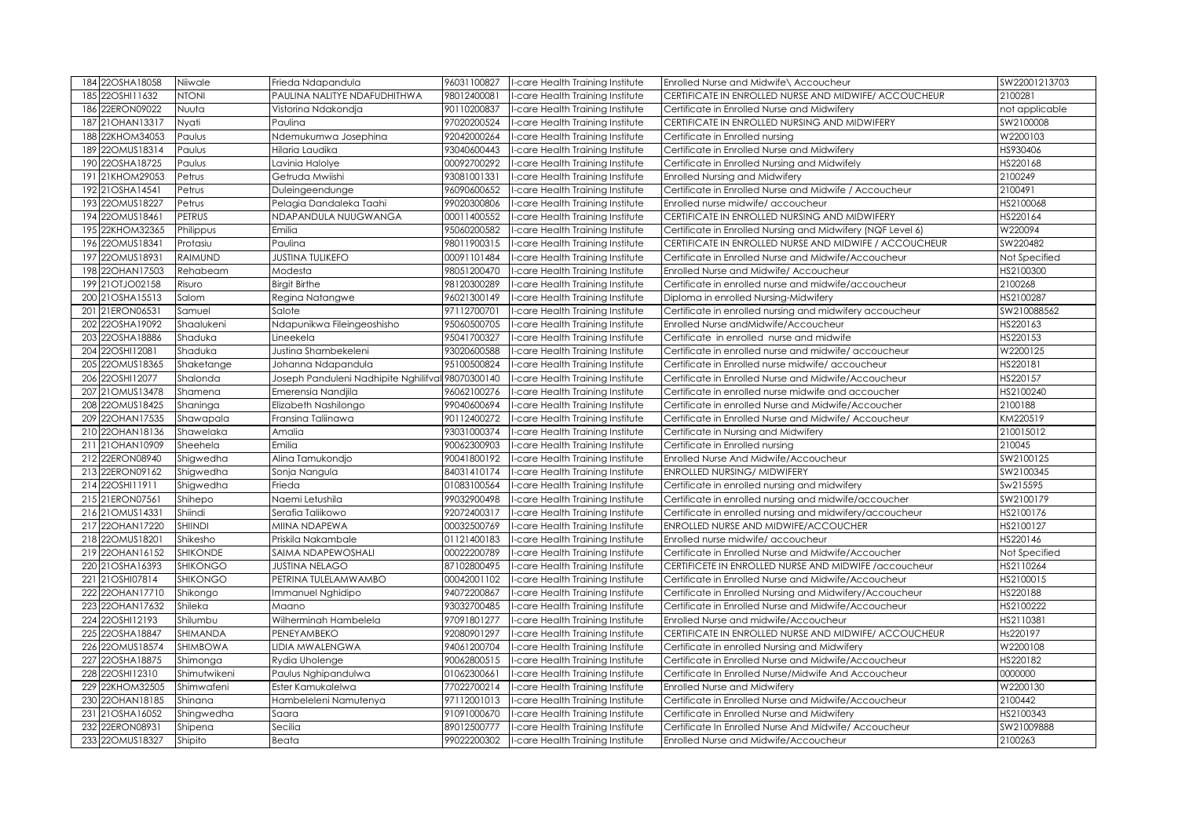| 184 22OSHA18058                    | Niiwale              | Frieda Ndapandula                                 | 96031100827                | -care Health Training Institute                                    | Enrolled Nurse and Midwife\ Accoucheur                                                                | SW22001213703         |
|------------------------------------|----------------------|---------------------------------------------------|----------------------------|--------------------------------------------------------------------|-------------------------------------------------------------------------------------------------------|-----------------------|
| 185 22OSHI11632                    | <b>NOTH</b>          | PAULINA NALITYE NDAFUDHITHWA                      | 98012400081                | -care Health Training Institute                                    | CERTIFICATE IN ENROLLED NURSE AND MIDWIFE/ ACCOUCHEUR                                                 | 2100281               |
| 186 22ERON09022                    | Nuuta                | Vistorina Ndakondja                               | 90110200837                | -care Health Training Institute                                    | Certificate in Enrolled Nurse and Midwifery                                                           | not applicable        |
| 187 21 OHAN 13317                  | Nyati                | Paulina                                           | 97020200524                | -care Health Training Institute                                    | CERTIFICATE IN ENROLLED NURSING AND MIDWIFERY                                                         | SW2100008             |
| 188 22KHOM34053                    | Paulus               | Ndemukumwa Josephina                              | 92042000264                | -care Health Training Institute                                    | Certificate in Enrolled nursing                                                                       | W2200103              |
| 189 220MUS18314                    | Paulus               | Hilaria Laudika                                   | 93040600443                | -care Health Training Institute                                    | Certificate in Enrolled Nurse and Midwifery                                                           | HS930406              |
| 190 22OSHA18725                    | Paulus               | avinia Halolye                                    | 00092700292                | -care Health Training Institute                                    | Certificate in Enrolled Nursing and Midwifely                                                         | HS220168              |
| 191 21KHOM29053                    | Petrus               | Getruda Mwiishi                                   | 93081001331                | -care Health Training Institute                                    | <b>Enrolled Nursing and Midwifery</b>                                                                 | 2100249               |
| 192 21OSHA14541                    | Petrus               | Duleingeendunge                                   | 96090600652                | -care Health Training Institute                                    | Certificate in Enrolled Nurse and Midwife / Accoucheur                                                | 2100491               |
| 193 22OMUS18227                    | Petrus               | Pelagia Dandaleka Taahi                           | 99020300806                | -care Health Training Institute                                    | Enrolled nurse midwife/ accoucheur                                                                    | HS2100068             |
| 194 220MUS18461                    | PETRUS               | NDAPANDULA NUUGWANGA                              | 00011400552                | -care Health Training Institute                                    | CERTIFICATE IN ENROLLED NURSING AND MIDWIFERY                                                         | HS220164              |
| 195 22KHOM32365                    | Philippus            | Emilia                                            | 95060200582                | -care Health Training Institute                                    | Certificate in Enrolled Nursing and Midwifery (NQF Level 6)                                           | W220094               |
| 196 22OMUS18341                    | Protasiu             | Paulina                                           | 98011900315                | -care Health Training Institute                                    | CERTIFICATE IN ENROLLED NURSE AND MIDWIFE / ACCOUCHEUR                                                | SW220482              |
| 197 22OMUS18931                    | RAIMUND              | <b>JUSTINA TULIKEFO</b>                           | 00091101484                | -care Health Training Institute                                    | Certificate in Enrolled Nurse and Midwife/Accoucheur                                                  | Not Specified         |
| 198 22OHAN17503                    | Rehabeam             | Modesta                                           | 98051200470                | -care Health Training Institute                                    | Enrolled Nurse and Midwife/Accoucheur                                                                 | HS2100300             |
| 199 21 OT JO02158                  | Risuro               | <b>Birgit Birthe</b>                              | 98120300289                | -care Health Training Institute                                    | Certificate in enrolled nurse and midwife/accoucheur                                                  | 2100268               |
| 200 21OSHA15513                    | Salom                | Regina Natangwe                                   | 96021300149                | -care Health Training Institute                                    | Diploma in enrolled Nursing-Midwifery                                                                 | HS2100287             |
| 201 21ERON06531                    | Samuel               | Salote                                            | 97112700701                | -care Health Training Institute                                    | Certificate in enrolled nursing and midwifery accoucheur                                              | SW210088562           |
| 202 22OSHA19092                    | Shaalukeni           | Ndapunikwa Fileingeoshisho                        | 95060500705                | -care Health Training Institute                                    | Enrolled Nurse andMidwife/Accoucheur                                                                  | HS220163              |
| 203 22OSHA18886                    | Shaduka              | Lineekela                                         | 95041700327                | -care Health Training Institute                                    | Certificate in enrolled nurse and midwife                                                             | HS220153              |
| 204 22OSHI12081                    | Shaduka              | Justina Shambekeleni                              | 93020600588                | -care Health Training Institute                                    | Certificate in enrolled nurse and midwife/accoucheur                                                  | W2200125              |
| 205 22OMUS18365                    | Shaketange           | Johanna Ndapandula                                | 95100500824                | -care Health Training Institute                                    | Certificate in Enrolled nurse midwife/ accoucheur                                                     | HS220181              |
| 206 22OSHI12077                    | Shalonda             | Joseph Panduleni Nadhipite Nghilifval 98070300140 |                            | -care Health Training Institute                                    | Certificate in Enrolled Nurse and Midwife/Accoucheur                                                  | HS220157              |
| 207 21 OMUS13478                   | Shamena              | Emerensia Nandjila                                | 96062100276                | -care Health Training Institute                                    | Certificate in enrolled nurse midwife and accoucher                                                   | HS2100240             |
| 208 22OMUS18425                    | Shaninga             | Elizabeth Nashilongo                              | 99040600694                | -care Health Training Institute                                    | Certificate in enrolled Nurse and Midwife/Accoucher                                                   | 2100188               |
| 209 22OHAN17535                    | Shawapala            | Fransina Taliinawa                                | 90112400272                | -care Health Training Institute                                    | Certificate in Enrolled Nurse and Midwife/ Accoucheur                                                 | KM220519              |
| 210 22OHAN18136                    | Shawelaka            | Amalia                                            | 93031000374                | -care Health Training Institute                                    | Certificate in Nursing and Midwifery                                                                  | 210015012             |
| 211 21 OHAN 10909                  | Sheehela             | Emilia                                            | 90062300903                | -care Health Training Institute                                    | Certificate in Enrolled nursing                                                                       | 210045                |
| 212 22ERON08940                    | Shigwedha            | Alina Tamukondjo                                  | 90041800192                | -care Health Training Institute                                    | Enrolled Nurse And Midwife/Accoucheur                                                                 | SW2100125             |
| 213 22ERON09162                    | Shigwedha            | Sonja Nangula                                     | 84031410174                | -care Health Training Institute                                    | <b>ENROLLED NURSING/ MIDWIFERY</b>                                                                    | SW2100345             |
| 214 22OSHI11911                    | Shigwedha            | Frieda                                            | 01083100564                | -care Health Training Institute                                    | Certificate in enrolled nursing and midwifery                                                         | Sw215595              |
| 215 21ERON07561                    | Shihepo              | Naemi Letushila                                   | 99032900498                | -care Health Training Institute                                    | Certificate in enrolled nursing and midwife/accoucher                                                 | SW2100179             |
| 216 21 OMUS14331                   | Shiindi              | Serafia Taliikowo                                 | 92072400317                | -care Health Training Institute                                    | Certificate in enrolled nursing and midwifery/accoucheur                                              | HS2100176             |
| 217 22OHAN17220                    | SHIINDI              | MIINA NDAPEWA                                     | 00032500769                | -care Health Training Institute                                    | ENROLLED NURSE AND MIDWIFE/ACCOUCHER                                                                  | HS2100127             |
| 218 22OMUS18201                    | Shikesho             | Priskila Nakambale                                | 01121400183                | -care Health Training Institute                                    | Enrolled nurse midwife/ accoucheur                                                                    | HS220146              |
| 219 22OHAN16152                    | SHIKONDE             | SAIMA NDAPEWOSHALI                                | 00022200789                | -care Health Training Institute                                    | Certificate in Enrolled Nurse and Midwife/Accoucher                                                   | Not Specified         |
| 220 21 OSHA1 6393                  | <b>SHIKONGO</b>      | <b>JUSTINA NELAGO</b>                             | 87102800495                | -care Health Training Institute                                    | CERTIFICETE IN ENROLLED NURSE AND MIDWIFE / accoucheur                                                | HS2110264             |
| 221 21OSHI07814                    | SHIKONGO             | PETRINA TULELAMWAMBO                              | 00042001102<br>94072200867 | -care Health Training Institute                                    | Certificate in Enrolled Nurse and Midwife/Accoucheur                                                  | HS2100015             |
| 222 22OHAN17710                    | Shikongo             | Immanuel Nghidipo                                 |                            | -care Health Training Institute                                    | Certificate in Enrolled Nursing and Midwifery/Accoucheur                                              | HS220188              |
| 223 22OHAN17632                    | Shileka              | Maano                                             | 93032700485                | -care Health Training Institute                                    | Certificate in Enrolled Nurse and Midwife/Accoucheur                                                  | HS2100222             |
| 224 22OSHI12193<br>225 22OSHA18847 | Shilumbu<br>SHIMANDA | Wilherminah Hambelela<br><b>PENEY AMBEKO</b>      | 97091801277<br>92080901297 | -care Health Training Institute<br>-care Health Training Institute | Enrolled Nurse and midwife/Accoucheur<br>CERTIFICATE IN ENROLLED NURSE AND MIDWIFE/ ACCOUCHEUR        | HS2110381<br>Hs220197 |
| 226 22OMUS18574                    | SHIMBOWA             | LIDIA MWALENGWA                                   | 94061200704                |                                                                    |                                                                                                       | W2200108              |
| 227 22OSHA18875                    | Shimonga             | Rydia Uholenge                                    | 90062800515                | -care Health Training Institute<br>-care Health Training Institute | Certificate in enrolled Nursing and Midwifery<br>Certificate in Enrolled Nurse and Midwife/Accoucheur | HS220182              |
| 228 22OSHI12310                    | Shimutwikeni         | Paulus Nghipandulwa                               | 01062300661                | -care Health Training Institute                                    | Certificate In Enrolled Nurse/Midwife And Accoucheur                                                  | 0000000               |
| 229 22KHOM32505                    | Shimwafeni           | Ester Kamukalelwa                                 | 77022700214                | I-care Health Training Institute                                   | Enrolled Nurse and Midwifery                                                                          | W2200130              |
| 230 22OHAN18185                    | Shinana              | Hambeleleni Namutenya                             | 97112001013                | -care Health Training Institute                                    | Certificate in Enrolled Nurse and Midwife/Accoucheur                                                  | 2100442               |
| 231 21 OSHA1 6052                  | Shingwedha           | Saara                                             | 91091000670                | -care Health Training Institute                                    | Certificate in Enrolled Nurse and Midwifery                                                           | HS2100343             |
| 232 22ERON08931                    | Shipena              | Secilia                                           | 89012500777                | -care Health Training Institute                                    | Certificate In Enrolled Nurse And Midwife/ Accoucheur                                                 | SW21009888            |
| 233 22OMUS18327                    | Shipito              | Beata                                             | 99022200302                | I-care Health Training Institute                                   | Enrolled Nurse and Midwife/Accoucheur                                                                 | 2100263               |
|                                    |                      |                                                   |                            |                                                                    |                                                                                                       |                       |